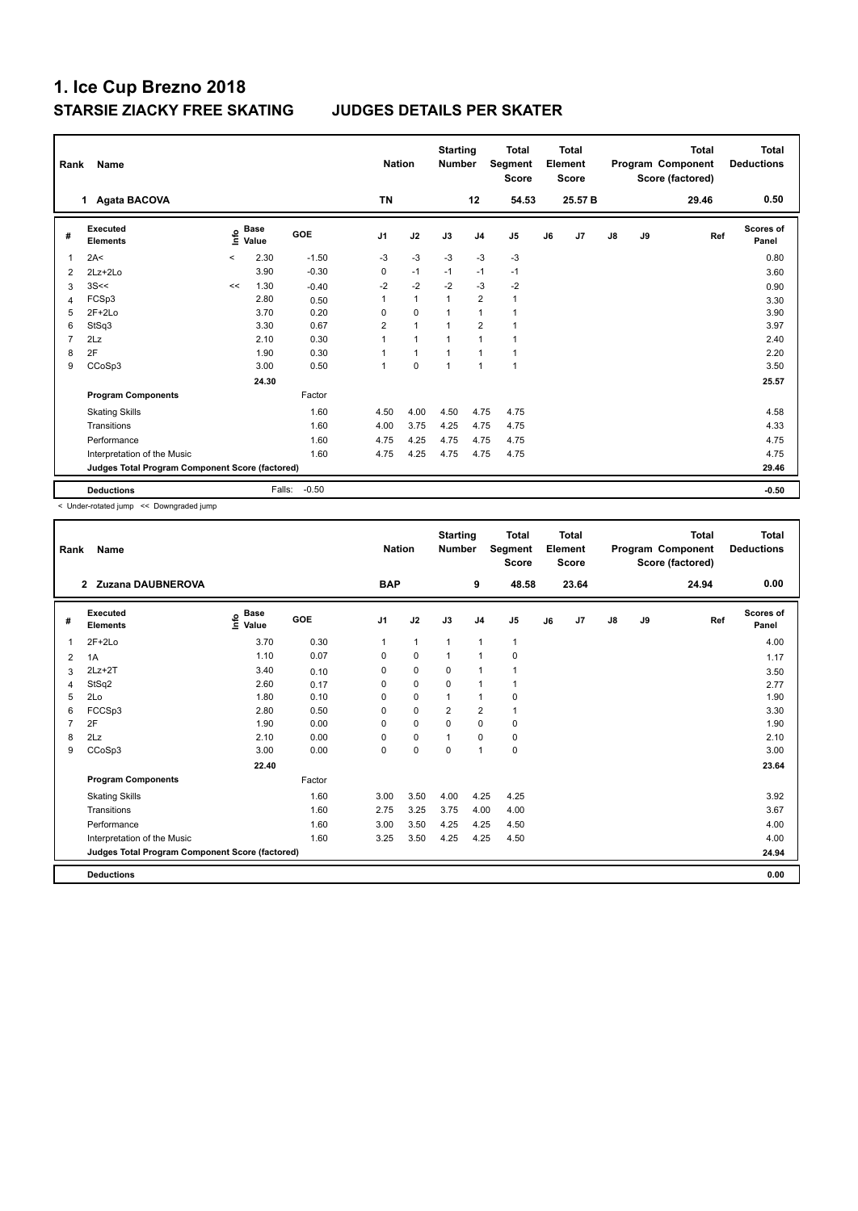| Rank           | Name                                            |         |                      |         | <b>Nation</b>  |              | <b>Starting</b><br><b>Number</b> |                | <b>Total</b><br>Segment<br><b>Score</b> |    | Total<br>Element<br><b>Score</b> |               |    | <b>Total</b><br>Program Component<br>Score (factored) | <b>Total</b><br><b>Deductions</b> |
|----------------|-------------------------------------------------|---------|----------------------|---------|----------------|--------------|----------------------------------|----------------|-----------------------------------------|----|----------------------------------|---------------|----|-------------------------------------------------------|-----------------------------------|
|                | 1 Agata BACOVA                                  |         |                      |         | <b>TN</b>      |              |                                  | 12             | 54.53                                   |    | 25.57 B                          |               |    | 29.46                                                 | 0.50                              |
| #              | Executed<br><b>Elements</b>                     | ١nfo    | <b>Base</b><br>Value | GOE     | J <sub>1</sub> | J2           | J3                               | J <sub>4</sub> | J5                                      | J6 | J7                               | $\mathsf{J}8$ | J9 | Ref                                                   | Scores of<br>Panel                |
| 1              | 2A<                                             | $\prec$ | 2.30                 | $-1.50$ | $-3$           | $-3$         | $-3$                             | $-3$           | $-3$                                    |    |                                  |               |    |                                                       | 0.80                              |
| 2              | 2Lz+2Lo                                         |         | 3.90                 | $-0.30$ | 0              | $-1$         | $-1$                             | $-1$           | $-1$                                    |    |                                  |               |    |                                                       | 3.60                              |
| 3              | 3S<<                                            | <<      | 1.30                 | $-0.40$ | $-2$           | $-2$         | $-2$                             | $-3$           | $-2$                                    |    |                                  |               |    |                                                       | 0.90                              |
| $\overline{4}$ | FCSp3                                           |         | 2.80                 | 0.50    | 1              | $\mathbf{1}$ | $\mathbf{1}$                     | $\overline{2}$ | $\mathbf{1}$                            |    |                                  |               |    |                                                       | 3.30                              |
| 5              | $2F+2Lo$                                        |         | 3.70                 | 0.20    | $\Omega$       | $\mathbf 0$  |                                  | $\mathbf{1}$   |                                         |    |                                  |               |    |                                                       | 3.90                              |
| 6              | StSq3                                           |         | 3.30                 | 0.67    | $\overline{2}$ | $\mathbf{1}$ | 1                                | $\overline{2}$ | $\overline{1}$                          |    |                                  |               |    |                                                       | 3.97                              |
| $\overline{7}$ | 2Lz                                             |         | 2.10                 | 0.30    | 1              | $\mathbf{1}$ | 1                                | $\mathbf{1}$   | $\overline{1}$                          |    |                                  |               |    |                                                       | 2.40                              |
| 8              | 2F                                              |         | 1.90                 | 0.30    |                | $\mathbf{1}$ |                                  | $\mathbf{1}$   | $\overline{1}$                          |    |                                  |               |    |                                                       | 2.20                              |
| 9              | CCoSp3                                          |         | 3.00                 | 0.50    | 1              | $\Omega$     | $\overline{1}$                   | $\mathbf{1}$   | $\overline{1}$                          |    |                                  |               |    |                                                       | 3.50                              |
|                |                                                 |         | 24.30                |         |                |              |                                  |                |                                         |    |                                  |               |    |                                                       | 25.57                             |
|                | <b>Program Components</b>                       |         |                      | Factor  |                |              |                                  |                |                                         |    |                                  |               |    |                                                       |                                   |
|                | <b>Skating Skills</b>                           |         |                      | 1.60    | 4.50           | 4.00         | 4.50                             | 4.75           | 4.75                                    |    |                                  |               |    |                                                       | 4.58                              |
|                | Transitions                                     |         |                      | 1.60    | 4.00           | 3.75         | 4.25                             | 4.75           | 4.75                                    |    |                                  |               |    |                                                       | 4.33                              |
|                | Performance                                     |         |                      | 1.60    | 4.75           | 4.25         | 4.75                             | 4.75           | 4.75                                    |    |                                  |               |    |                                                       | 4.75                              |
|                | Interpretation of the Music                     |         |                      | 1.60    | 4.75           | 4.25         | 4.75                             | 4.75           | 4.75                                    |    |                                  |               |    |                                                       | 4.75                              |
|                | Judges Total Program Component Score (factored) |         |                      |         |                |              |                                  |                |                                         |    |                                  |               |    |                                                       | 29.46                             |
|                | <b>Deductions</b>                               |         | Falls:               | $-0.50$ |                |              |                                  |                |                                         |    |                                  |               |    |                                                       | $-0.50$                           |

< Under-rotated jump << Downgraded jump

| Rank           | Name                                            |                                    |        | <b>Nation</b>  |              | <b>Starting</b><br><b>Number</b> |                | <b>Total</b><br>Segment<br><b>Score</b> |    | <b>Total</b><br>Element<br><b>Score</b> |               |    | <b>Total</b><br>Program Component<br>Score (factored) | <b>Total</b><br><b>Deductions</b> |
|----------------|-------------------------------------------------|------------------------------------|--------|----------------|--------------|----------------------------------|----------------|-----------------------------------------|----|-----------------------------------------|---------------|----|-------------------------------------------------------|-----------------------------------|
|                | 2 Zuzana DAUBNEROVA                             |                                    |        | <b>BAP</b>     |              |                                  | 9              | 48.58                                   |    | 23.64                                   |               |    | 24.94                                                 | 0.00                              |
| #              | Executed<br><b>Elements</b>                     | <b>Base</b><br>$\frac{6}{5}$ Value | GOE    | J <sub>1</sub> | J2           | J3                               | J <sub>4</sub> | J <sub>5</sub>                          | J6 | J7                                      | $\mathsf{J}8$ | J9 | Ref                                                   | <b>Scores of</b><br>Panel         |
| 1              | $2F+2Lo$                                        | 3.70                               | 0.30   | 1              | $\mathbf{1}$ | $\mathbf{1}$                     | $\mathbf{1}$   | $\mathbf{1}$                            |    |                                         |               |    |                                                       | 4.00                              |
| 2              | 1A                                              | 1.10                               | 0.07   | $\Omega$       | $\pmb{0}$    | $\mathbf{1}$                     | $\mathbf{1}$   | 0                                       |    |                                         |               |    |                                                       | 1.17                              |
| 3              | $2Lz + 2T$                                      | 3.40                               | 0.10   | 0              | $\mathbf 0$  | $\mathbf 0$                      | 1              | $\overline{1}$                          |    |                                         |               |    |                                                       | 3.50                              |
| 4              | StSq2                                           | 2.60                               | 0.17   | 0              | $\mathbf 0$  | 0                                | $\mathbf{1}$   | 1                                       |    |                                         |               |    |                                                       | 2.77                              |
| 5              | 2Lo                                             | 1.80                               | 0.10   | 0              | $\mathbf 0$  | 1                                | $\mathbf{1}$   | 0                                       |    |                                         |               |    |                                                       | 1.90                              |
| 6              | FCCSp3                                          | 2.80                               | 0.50   | $\Omega$       | $\mathbf 0$  | $\overline{2}$                   | $\overline{2}$ | 1                                       |    |                                         |               |    |                                                       | 3.30                              |
| $\overline{7}$ | 2F                                              | 1.90                               | 0.00   | $\Omega$       | $\mathbf 0$  | $\Omega$                         | $\mathbf 0$    | 0                                       |    |                                         |               |    |                                                       | 1.90                              |
| 8              | 2Lz                                             | 2.10                               | 0.00   | $\Omega$       | $\mathbf 0$  |                                  | $\mathbf 0$    | 0                                       |    |                                         |               |    |                                                       | 2.10                              |
| 9              | CCoSp3                                          | 3.00                               | 0.00   | 0              | $\mathbf 0$  | 0                                | $\mathbf{1}$   | $\pmb{0}$                               |    |                                         |               |    |                                                       | 3.00                              |
|                |                                                 | 22.40                              |        |                |              |                                  |                |                                         |    |                                         |               |    |                                                       | 23.64                             |
|                | <b>Program Components</b>                       |                                    | Factor |                |              |                                  |                |                                         |    |                                         |               |    |                                                       |                                   |
|                | <b>Skating Skills</b>                           |                                    | 1.60   | 3.00           | 3.50         | 4.00                             | 4.25           | 4.25                                    |    |                                         |               |    |                                                       | 3.92                              |
|                | Transitions                                     |                                    | 1.60   | 2.75           | 3.25         | 3.75                             | 4.00           | 4.00                                    |    |                                         |               |    |                                                       | 3.67                              |
|                | Performance                                     |                                    | 1.60   | 3.00           | 3.50         | 4.25                             | 4.25           | 4.50                                    |    |                                         |               |    |                                                       | 4.00                              |
|                | Interpretation of the Music                     |                                    | 1.60   | 3.25           | 3.50         | 4.25                             | 4.25           | 4.50                                    |    |                                         |               |    |                                                       | 4.00                              |
|                | Judges Total Program Component Score (factored) |                                    |        |                |              |                                  |                |                                         |    |                                         |               |    |                                                       | 24.94                             |
|                | <b>Deductions</b>                               |                                    |        |                |              |                                  |                |                                         |    |                                         |               |    |                                                       | 0.00                              |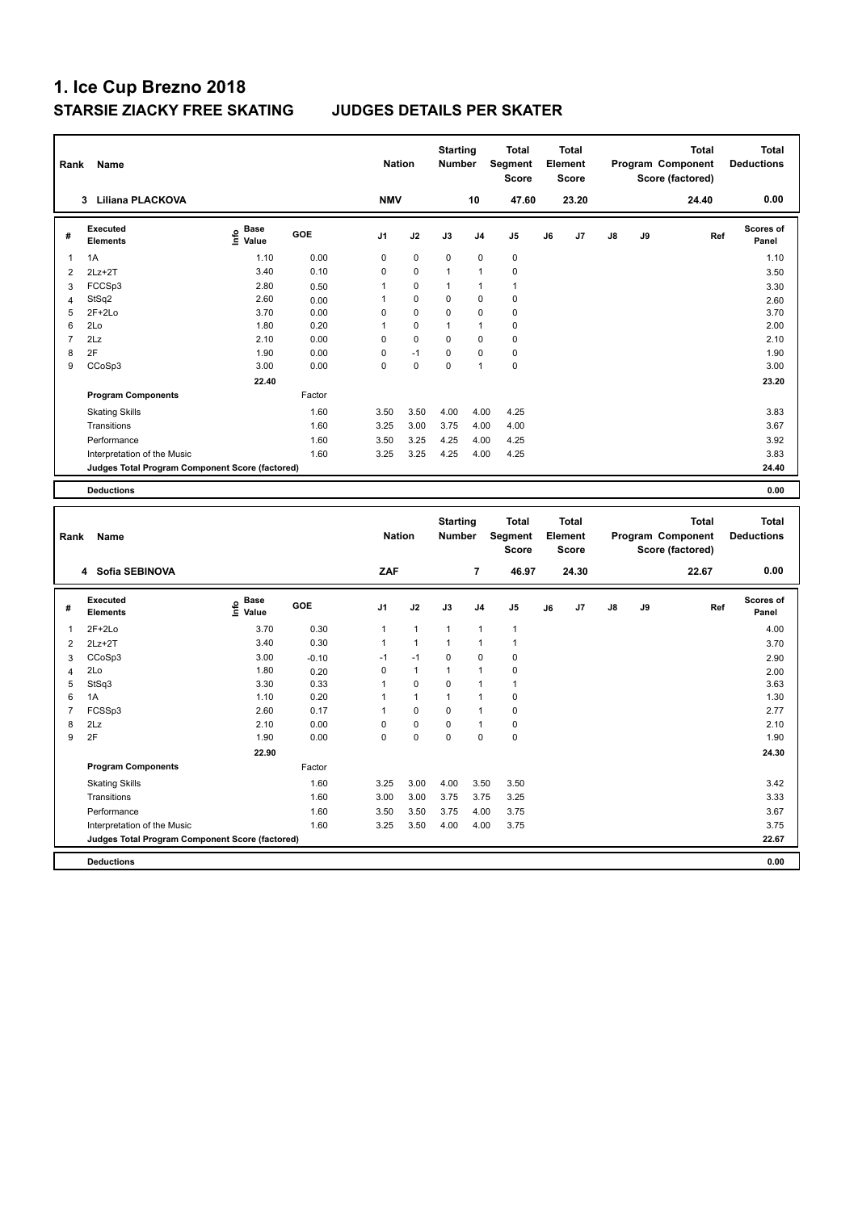| Rank                | Name                                                                           |                                           |                 | <b>Nation</b>  |              | <b>Starting</b><br><b>Number</b> |                | <b>Total</b><br><b>Segment</b><br><b>Score</b> |    | <b>Total</b><br>Element<br><b>Score</b> |    |    | <b>Total</b><br>Program Component<br>Score (factored) |     | <b>Total</b><br><b>Deductions</b> |
|---------------------|--------------------------------------------------------------------------------|-------------------------------------------|-----------------|----------------|--------------|----------------------------------|----------------|------------------------------------------------|----|-----------------------------------------|----|----|-------------------------------------------------------|-----|-----------------------------------|
|                     | 3 Liliana PLACKOVA                                                             |                                           |                 | <b>NMV</b>     |              |                                  | 10             | 47.60                                          |    | 23.20                                   |    |    | 24.40                                                 |     | 0.00                              |
| #                   | <b>Executed</b><br><b>Elements</b>                                             | $\frac{e}{E}$ Base<br>$\frac{e}{E}$ Value | GOE             | J1             | J2           | J3                               | J <sub>4</sub> | J5                                             | J6 | J7                                      | J8 | J9 |                                                       | Ref | Scores of<br>Panel                |
| $\mathbf{1}$        | 1A                                                                             | 1.10                                      | 0.00            | $\mathbf 0$    | $\mathbf 0$  | 0                                | $\mathbf 0$    | $\pmb{0}$                                      |    |                                         |    |    |                                                       |     | 1.10                              |
| $\overline{2}$      | $2Lz + 2T$                                                                     | 3.40                                      | 0.10            | $\mathbf 0$    | 0            | $\mathbf{1}$                     | 1              | $\mathbf 0$                                    |    |                                         |    |    |                                                       |     | 3.50                              |
| 3                   | FCCSp3                                                                         | 2.80                                      | 0.50            | $\mathbf{1}$   | 0            | 1                                | $\mathbf{1}$   | $\mathbf{1}$                                   |    |                                         |    |    |                                                       |     | 3.30                              |
| $\overline{4}$      | StSq2                                                                          | 2.60                                      | 0.00            | 1              | 0            | 0                                | $\mathbf 0$    | $\mathbf 0$                                    |    |                                         |    |    |                                                       |     | 2.60                              |
| 5                   | $2F+2Lo$                                                                       | 3.70                                      | 0.00            | $\mathbf 0$    | $\pmb{0}$    | 0                                | $\mathbf 0$    | $\pmb{0}$                                      |    |                                         |    |    |                                                       |     | 3.70                              |
| 6                   | 2Lo                                                                            | 1.80                                      | 0.20            | $\mathbf{1}$   | 0            | $\mathbf{1}$                     | $\mathbf{1}$   | $\mathbf 0$                                    |    |                                         |    |    |                                                       |     | 2.00                              |
| $\overline{7}$      | 2Lz                                                                            | 2.10                                      | 0.00            | $\mathbf 0$    | 0            | 0                                | $\mathbf 0$    | $\mathbf 0$                                    |    |                                         |    |    |                                                       |     | 2.10                              |
| 8                   | 2F                                                                             | 1.90                                      | 0.00            | $\mathbf 0$    | $-1$         | $\mathbf 0$                      | 0              | $\mathbf 0$                                    |    |                                         |    |    |                                                       |     | 1.90                              |
| 9                   | CCoSp3                                                                         | 3.00                                      | 0.00            | $\mathbf 0$    | $\mathbf 0$  | 0                                | 1              | $\mathbf 0$                                    |    |                                         |    |    |                                                       |     | 3.00                              |
|                     |                                                                                | 22.40                                     |                 |                |              |                                  |                |                                                |    |                                         |    |    |                                                       |     | 23.20                             |
|                     | <b>Program Components</b>                                                      |                                           | Factor          |                |              |                                  |                |                                                |    |                                         |    |    |                                                       |     |                                   |
|                     | <b>Skating Skills</b>                                                          |                                           | 1.60            | 3.50           | 3.50         | 4.00                             | 4.00           | 4.25                                           |    |                                         |    |    |                                                       |     | 3.83                              |
|                     | Transitions                                                                    |                                           | 1.60            | 3.25           | 3.00         | 3.75                             | 4.00           | 4.00                                           |    |                                         |    |    |                                                       |     | 3.67                              |
|                     | Performance                                                                    |                                           | 1.60            | 3.50           | 3.25         | 4.25                             | 4.00           | 4.25                                           |    |                                         |    |    |                                                       |     | 3.92                              |
|                     | Interpretation of the Music                                                    |                                           | 1.60            | 3.25           | 3.25         | 4.25                             | 4.00           | 4.25                                           |    |                                         |    |    |                                                       |     | 3.83                              |
|                     | Judges Total Program Component Score (factored)                                |                                           |                 |                |              |                                  |                |                                                |    |                                         |    |    |                                                       |     | 24.40                             |
|                     |                                                                                |                                           |                 |                |              |                                  |                |                                                |    |                                         |    |    |                                                       |     |                                   |
|                     | <b>Deductions</b>                                                              |                                           |                 |                |              |                                  |                |                                                |    |                                         |    |    |                                                       |     | 0.00                              |
|                     |                                                                                |                                           |                 |                |              |                                  |                |                                                |    |                                         |    |    |                                                       |     |                                   |
| Rank                | Name                                                                           |                                           |                 | <b>Nation</b>  |              | <b>Starting</b><br><b>Number</b> |                | <b>Total</b><br>Segment<br><b>Score</b>        |    | <b>Total</b><br>Element<br><b>Score</b> |    |    | <b>Total</b><br>Program Component<br>Score (factored) |     | <b>Total</b><br><b>Deductions</b> |
|                     | 4 Sofia SEBINOVA                                                               |                                           |                 | ZAF            |              |                                  | $\overline{7}$ | 46.97                                          |    | 24.30                                   |    |    | 22.67                                                 |     | 0.00                              |
| #                   | <b>Executed</b><br><b>Elements</b>                                             | e Base<br>E Value                         | GOE             | J <sub>1</sub> | J2           | J3                               | J <sub>4</sub> | J5                                             | J6 | J7                                      | J8 | J9 |                                                       | Ref | Scores of<br>Panel                |
| $\mathbf{1}$        | 2F+2Lo                                                                         | 3.70                                      | 0.30            | $\mathbf{1}$   | $\mathbf{1}$ | 1                                | 1              | $\mathbf{1}$                                   |    |                                         |    |    |                                                       |     | 4.00                              |
|                     |                                                                                | 3.40                                      | 0.30            | $\mathbf{1}$   | $\mathbf{1}$ | $\mathbf{1}$                     | 1              | $\overline{1}$                                 |    |                                         |    |    |                                                       |     |                                   |
| $\overline{2}$      | $2Lz+2T$                                                                       | 3.00                                      |                 | $-1$           | $-1$         | 0                                | $\mathbf 0$    | $\mathbf 0$                                    |    |                                         |    |    |                                                       |     | 3.70                              |
| 3<br>$\overline{4}$ | CCoSp3<br>2Lo                                                                  | 1.80                                      | $-0.10$<br>0.20 | $\mathbf 0$    | $\mathbf{1}$ | $\mathbf{1}$                     | $\mathbf{1}$   | $\mathbf 0$                                    |    |                                         |    |    |                                                       |     | 2.90                              |
| 5                   | StSq3                                                                          | 3.30                                      | 0.33            | 1              | 0            | 0                                | 1              | $\mathbf{1}$                                   |    |                                         |    |    |                                                       |     | 2.00<br>3.63                      |
| 6                   | 1A                                                                             | 1.10                                      | 0.20            | 1              | $\mathbf{1}$ | $\mathbf{1}$                     | $\mathbf{1}$   | $\pmb{0}$                                      |    |                                         |    |    |                                                       |     | 1.30                              |
| $\overline{7}$      | FCSSp3                                                                         | 2.60                                      | 0.17            | 1              | 0            | 0                                | $\overline{1}$ | $\pmb{0}$                                      |    |                                         |    |    |                                                       |     | 2.77                              |
| 8                   | 2Lz                                                                            | 2.10                                      | 0.00            | $\mathbf 0$    | 0            | 0                                | $\mathbf{1}$   | $\pmb{0}$                                      |    |                                         |    |    |                                                       |     | 2.10                              |
| $\boldsymbol{9}$    | 2F                                                                             | 1.90                                      | 0.00            | $\mathbf 0$    | $\mathbf 0$  | 0                                | $\mathbf 0$    | $\pmb{0}$                                      |    |                                         |    |    |                                                       |     | 1.90                              |
|                     |                                                                                | 22.90                                     |                 |                |              |                                  |                |                                                |    |                                         |    |    |                                                       |     | 24.30                             |
|                     | <b>Program Components</b>                                                      |                                           | Factor          |                |              |                                  |                |                                                |    |                                         |    |    |                                                       |     |                                   |
|                     | <b>Skating Skills</b>                                                          |                                           | 1.60            | 3.25           | 3.00         | 4.00                             | 3.50           | 3.50                                           |    |                                         |    |    |                                                       |     | 3.42                              |
|                     | Transitions                                                                    |                                           | 1.60            | 3.00           | 3.00         | 3.75                             | 3.75           | 3.25                                           |    |                                         |    |    |                                                       |     | 3.33                              |
|                     | Performance                                                                    |                                           | 1.60            | 3.50           | 3.50         | 3.75                             | 4.00           |                                                |    |                                         |    |    |                                                       |     | 3.67                              |
|                     |                                                                                |                                           | 1.60            | 3.25           | 3.50         | 4.00                             | 4.00           | 3.75<br>3.75                                   |    |                                         |    |    |                                                       |     | 3.75                              |
|                     | Interpretation of the Music<br>Judges Total Program Component Score (factored) |                                           |                 |                |              |                                  |                |                                                |    |                                         |    |    |                                                       |     | 22.67                             |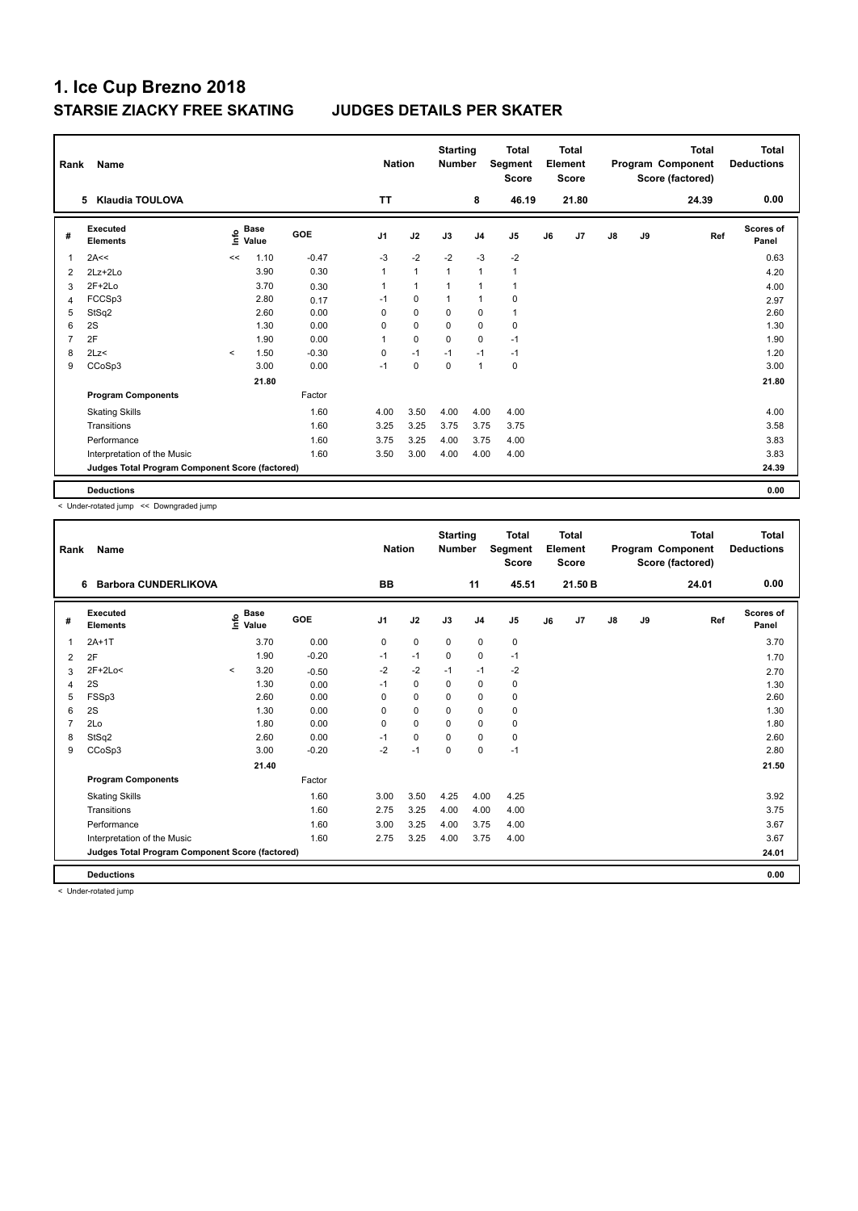| Rank           | Name                                            |             |                      |            | <b>Nation</b>  |                | <b>Starting</b><br><b>Number</b> |                | <b>Total</b><br>Segment<br><b>Score</b> |    | Total<br>Element<br><b>Score</b> |               |    | <b>Total</b><br>Program Component<br>Score (factored) | Total<br><b>Deductions</b> |
|----------------|-------------------------------------------------|-------------|----------------------|------------|----------------|----------------|----------------------------------|----------------|-----------------------------------------|----|----------------------------------|---------------|----|-------------------------------------------------------|----------------------------|
|                | 5 Klaudia TOULOVA                               |             |                      |            | <b>TT</b>      |                |                                  | 8              | 46.19                                   |    | 21.80                            |               |    | 24.39                                                 | 0.00                       |
| #              | Executed<br><b>Elements</b>                     | <u>info</u> | <b>Base</b><br>Value | <b>GOE</b> | J <sub>1</sub> | J2             | J3                               | J <sub>4</sub> | J <sub>5</sub>                          | J6 | J7                               | $\mathsf{J}8$ | J9 | Ref                                                   | <b>Scores of</b><br>Panel  |
| 1              | 2A<<                                            | <<          | 1.10                 | $-0.47$    | $-3$           | $-2$           | $-2$                             | $-3$           | $-2$                                    |    |                                  |               |    |                                                       | 0.63                       |
| 2              | $2Lz+2Lo$                                       |             | 3.90                 | 0.30       | 1              | $\mathbf{1}$   | $\overline{1}$                   | $\mathbf{1}$   | $\mathbf{1}$                            |    |                                  |               |    |                                                       | 4.20                       |
| 3              | $2F+2Lo$                                        |             | 3.70                 | 0.30       |                | $\overline{1}$ | $\overline{1}$                   | $\overline{1}$ | $\mathbf{1}$                            |    |                                  |               |    |                                                       | 4.00                       |
| 4              | FCCSp3                                          |             | 2.80                 | 0.17       | $-1$           | $\mathbf 0$    | $\overline{1}$                   | $\overline{1}$ | 0                                       |    |                                  |               |    |                                                       | 2.97                       |
| 5              | StSq2                                           |             | 2.60                 | 0.00       | 0              | $\mathbf 0$    | 0                                | 0              | $\mathbf{1}$                            |    |                                  |               |    |                                                       | 2.60                       |
| 6              | 2S                                              |             | 1.30                 | 0.00       | 0              | $\mathbf 0$    | $\mathbf 0$                      | $\mathbf 0$    | 0                                       |    |                                  |               |    |                                                       | 1.30                       |
| $\overline{7}$ | 2F                                              |             | 1.90                 | 0.00       | 1              | $\mathbf 0$    | $\Omega$                         | $\mathbf 0$    | $-1$                                    |    |                                  |               |    |                                                       | 1.90                       |
| 8              | 2Lz                                             | $\prec$     | 1.50                 | $-0.30$    | 0              | $-1$           | $-1$                             | $-1$           | $-1$                                    |    |                                  |               |    |                                                       | 1.20                       |
| 9              | CCoSp3                                          |             | 3.00                 | 0.00       | $-1$           | $\mathbf 0$    | $\pmb{0}$                        | $\mathbf{1}$   | $\mathbf 0$                             |    |                                  |               |    |                                                       | 3.00                       |
|                |                                                 |             | 21.80                |            |                |                |                                  |                |                                         |    |                                  |               |    |                                                       | 21.80                      |
|                | <b>Program Components</b>                       |             |                      | Factor     |                |                |                                  |                |                                         |    |                                  |               |    |                                                       |                            |
|                | <b>Skating Skills</b>                           |             |                      | 1.60       | 4.00           | 3.50           | 4.00                             | 4.00           | 4.00                                    |    |                                  |               |    |                                                       | 4.00                       |
|                | Transitions                                     |             |                      | 1.60       | 3.25           | 3.25           | 3.75                             | 3.75           | 3.75                                    |    |                                  |               |    |                                                       | 3.58                       |
|                | Performance                                     |             |                      | 1.60       | 3.75           | 3.25           | 4.00                             | 3.75           | 4.00                                    |    |                                  |               |    |                                                       | 3.83                       |
|                | Interpretation of the Music                     |             |                      | 1.60       | 3.50           | 3.00           | 4.00                             | 4.00           | 4.00                                    |    |                                  |               |    |                                                       | 3.83                       |
|                | Judges Total Program Component Score (factored) |             |                      |            |                |                |                                  |                |                                         |    |                                  |               |    |                                                       | 24.39                      |
|                | <b>Deductions</b>                               |             |                      |            |                |                |                                  |                |                                         |    |                                  |               |    |                                                       | 0.00                       |

< Under-rotated jump << Downgraded jump

| Rank | <b>Name</b>                                     |         |                                  |            | <b>Nation</b>  |             | <b>Starting</b><br><b>Number</b> |                | <b>Total</b><br>Segment<br><b>Score</b> |    | <b>Total</b><br>Element<br><b>Score</b> |               |    | <b>Total</b><br>Program Component<br>Score (factored) | <b>Total</b><br><b>Deductions</b> |
|------|-------------------------------------------------|---------|----------------------------------|------------|----------------|-------------|----------------------------------|----------------|-----------------------------------------|----|-----------------------------------------|---------------|----|-------------------------------------------------------|-----------------------------------|
|      | <b>Barbora CUNDERLIKOVA</b><br>6                |         |                                  |            | <b>BB</b>      |             |                                  | 11             | 45.51                                   |    | 21.50 B                                 |               |    | 24.01                                                 | 0.00                              |
| #    | Executed<br><b>Elements</b>                     |         | <b>Base</b><br>e Base<br>⊆ Value | <b>GOE</b> | J <sub>1</sub> | J2          | J3                               | J <sub>4</sub> | J <sub>5</sub>                          | J6 | J7                                      | $\mathsf{J}8$ | J9 | Ref                                                   | <b>Scores of</b><br>Panel         |
| 1    | $2A+1T$                                         |         | 3.70                             | 0.00       | 0              | $\mathbf 0$ | $\mathbf 0$                      | $\mathbf 0$    | 0                                       |    |                                         |               |    |                                                       | 3.70                              |
| 2    | 2F                                              |         | 1.90                             | $-0.20$    | $-1$           | $-1$        | $\mathbf 0$                      | $\mathbf 0$    | $-1$                                    |    |                                         |               |    |                                                       | 1.70                              |
| 3    | $2F+2Lo<$                                       | $\prec$ | 3.20                             | $-0.50$    | $-2$           | $-2$        | $-1$                             | $-1$           | $-2$                                    |    |                                         |               |    |                                                       | 2.70                              |
| 4    | 2S                                              |         | 1.30                             | 0.00       | $-1$           | $\mathbf 0$ | $\Omega$                         | $\mathbf 0$    | 0                                       |    |                                         |               |    |                                                       | 1.30                              |
| 5    | FSSp3                                           |         | 2.60                             | 0.00       | 0              | $\mathbf 0$ | $\mathbf 0$                      | $\mathbf 0$    | $\mathbf 0$                             |    |                                         |               |    |                                                       | 2.60                              |
| 6    | 2S                                              |         | 1.30                             | 0.00       | 0              | $\mathbf 0$ | 0                                | $\mathbf 0$    | 0                                       |    |                                         |               |    |                                                       | 1.30                              |
| 7    | 2Lo                                             |         | 1.80                             | 0.00       | 0              | $\mathbf 0$ | 0                                | $\mathbf 0$    | 0                                       |    |                                         |               |    |                                                       | 1.80                              |
| 8    | StSq2                                           |         | 2.60                             | 0.00       | $-1$           | $\mathbf 0$ | $\Omega$                         | $\mathbf 0$    | 0                                       |    |                                         |               |    |                                                       | 2.60                              |
| 9    | CCoSp3                                          |         | 3.00                             | $-0.20$    | $-2$           | $-1$        | $\Omega$                         | $\Omega$       | $-1$                                    |    |                                         |               |    |                                                       | 2.80                              |
|      |                                                 |         | 21.40                            |            |                |             |                                  |                |                                         |    |                                         |               |    |                                                       | 21.50                             |
|      | <b>Program Components</b>                       |         |                                  | Factor     |                |             |                                  |                |                                         |    |                                         |               |    |                                                       |                                   |
|      | <b>Skating Skills</b>                           |         |                                  | 1.60       | 3.00           | 3.50        | 4.25                             | 4.00           | 4.25                                    |    |                                         |               |    |                                                       | 3.92                              |
|      | Transitions                                     |         |                                  | 1.60       | 2.75           | 3.25        | 4.00                             | 4.00           | 4.00                                    |    |                                         |               |    |                                                       | 3.75                              |
|      | Performance                                     |         |                                  | 1.60       | 3.00           | 3.25        | 4.00                             | 3.75           | 4.00                                    |    |                                         |               |    |                                                       | 3.67                              |
|      | Interpretation of the Music                     |         |                                  | 1.60       | 2.75           | 3.25        | 4.00                             | 3.75           | 4.00                                    |    |                                         |               |    |                                                       | 3.67                              |
|      | Judges Total Program Component Score (factored) |         |                                  |            |                |             |                                  |                |                                         |    |                                         |               |    |                                                       | 24.01                             |
|      | <b>Deductions</b>                               |         |                                  |            |                |             |                                  |                |                                         |    |                                         |               |    |                                                       | 0.00                              |

< Under-rotated jump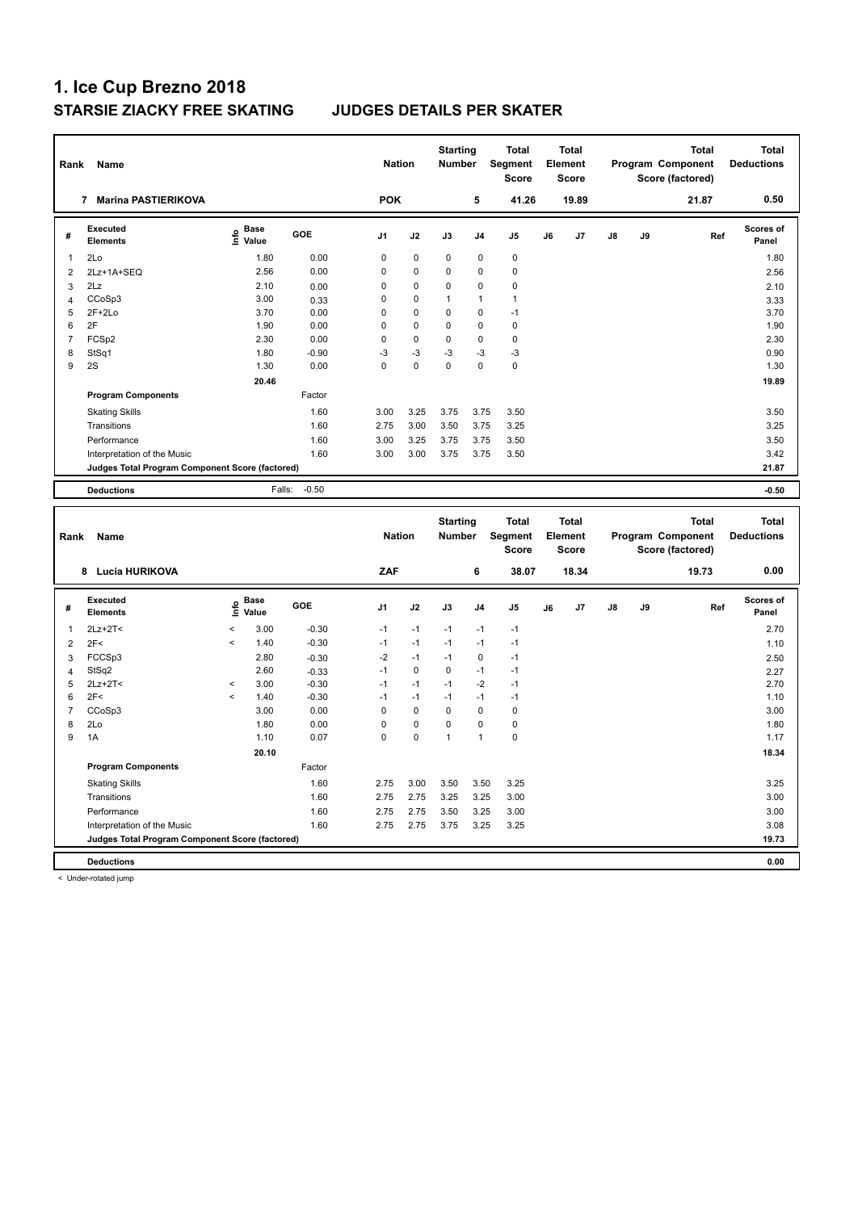| Rank           | Name                                            |                   |                   | <b>Nation</b>  |             | <b>Starting</b><br>Number |                | Total<br>Segment<br>Score |    | <b>Total</b><br>Element<br><b>Score</b> |    |    | <b>Total</b><br>Program Component<br>Score (factored) | <b>Total</b><br><b>Deductions</b> |
|----------------|-------------------------------------------------|-------------------|-------------------|----------------|-------------|---------------------------|----------------|---------------------------|----|-----------------------------------------|----|----|-------------------------------------------------------|-----------------------------------|
|                | 7 Marina PASTIERIKOVA                           |                   |                   | <b>POK</b>     |             |                           | 5              | 41.26                     |    | 19.89                                   |    |    | 21.87                                                 | 0.50                              |
| #              | <b>Executed</b><br><b>Elements</b>              | e Base<br>E Value | GOE               | J <sub>1</sub> | J2          | J3                        | J <sub>4</sub> | J5                        | J6 | J7                                      | J8 | J9 | Ref                                                   | <b>Scores of</b><br>Panel         |
| 1              | 2Lo                                             | 1.80              | 0.00              | $\mathbf 0$    | 0           | 0                         | $\pmb{0}$      | $\pmb{0}$                 |    |                                         |    |    |                                                       | 1.80                              |
| $\overline{2}$ | 2Lz+1A+SEQ                                      | 2.56              | 0.00              | $\mathbf 0$    | 0           | 0                         | 0              | $\mathbf 0$               |    |                                         |    |    |                                                       | 2.56                              |
| 3              | 2Lz                                             | 2.10              | 0.00              | $\mathbf 0$    | 0           | 0                         | $\mathbf 0$    | $\mathbf 0$               |    |                                         |    |    |                                                       | 2.10                              |
| $\overline{4}$ | CCoSp3                                          | 3.00              | 0.33              | $\mathbf 0$    | 0           | $\mathbf{1}$              | 1              | $\mathbf{1}$              |    |                                         |    |    |                                                       | 3.33                              |
| 5              | $2F+2Lo$                                        | 3.70              | 0.00              | $\mathbf 0$    | 0           | 0                         | $\mathbf 0$    | $-1$                      |    |                                         |    |    |                                                       | 3.70                              |
| 6              | 2F                                              | 1.90              | 0.00              | $\mathbf 0$    | $\mathbf 0$ | 0                         | $\mathbf 0$    | $\pmb{0}$                 |    |                                         |    |    |                                                       | 1.90                              |
| $\overline{7}$ | FCSp2                                           | 2.30              | 0.00              | $\mathbf 0$    | 0           | 0                         | $\mathbf 0$    | $\pmb{0}$                 |    |                                         |    |    |                                                       | 2.30                              |
| 8              | StSq1                                           | 1.80              | $-0.90$           | $-3$           | $-3$        | $-3$                      | $-3$           | $-3$                      |    |                                         |    |    |                                                       | 0.90                              |
| 9              | 2S                                              | 1.30              | 0.00              | $\mathbf 0$    | $\mathbf 0$ | $\mathbf 0$               | $\mathbf 0$    | $\pmb{0}$                 |    |                                         |    |    |                                                       | 1.30                              |
|                |                                                 | 20.46             |                   |                |             |                           |                |                           |    |                                         |    |    |                                                       | 19.89                             |
|                | <b>Program Components</b>                       |                   | Factor            |                |             |                           |                |                           |    |                                         |    |    |                                                       |                                   |
|                | <b>Skating Skills</b>                           |                   | 1.60              | 3.00           | 3.25        | 3.75                      | 3.75           | 3.50                      |    |                                         |    |    |                                                       | 3.50                              |
|                | Transitions                                     |                   | 1.60              | 2.75           | 3.00        | 3.50                      | 3.75           | 3.25                      |    |                                         |    |    |                                                       | 3.25                              |
|                | Performance                                     |                   | 1.60              | 3.00           | 3.25        | 3.75                      | 3.75           | 3.50                      |    |                                         |    |    |                                                       | 3.50                              |
|                | Interpretation of the Music                     |                   | 1.60              | 3.00           | 3.00        | 3.75                      | 3.75           | 3.50                      |    |                                         |    |    |                                                       | 3.42                              |
|                | Judges Total Program Component Score (factored) |                   |                   |                |             |                           |                |                           |    |                                         |    |    |                                                       | 21.87                             |
|                |                                                 |                   |                   |                |             |                           |                |                           |    |                                         |    |    |                                                       |                                   |
|                | <b>Deductions</b>                               |                   | $-0.50$<br>Falls: |                |             |                           |                |                           |    |                                         |    |    |                                                       | $-0.50$                           |
|                |                                                 |                   |                   |                |             |                           |                |                           |    |                                         |    |    |                                                       |                                   |
|                |                                                 |                   |                   |                |             |                           |                |                           |    |                                         |    |    |                                                       |                                   |
|                |                                                 |                   |                   |                |             | <b>Starting</b>           |                | <b>Total</b>              |    | <b>Total</b>                            |    |    | <b>Total</b>                                          | <b>Total</b>                      |
| Rank           | Name                                            |                   |                   | <b>Nation</b>  |             | Number                    |                | Segment                   |    | Element                                 |    |    | Program Component                                     | <b>Deductions</b>                 |
|                |                                                 |                   |                   |                |             |                           |                | <b>Score</b>              |    | <b>Score</b>                            |    |    | Score (factored)                                      |                                   |
|                | 8 Lucia HURIKOVA                                |                   |                   | ZAF            |             |                           | 6              | 38.07                     |    | 18.34                                   |    |    | 19.73                                                 | 0.00                              |
| #              | <b>Executed</b>                                 |                   | GOE               | J <sub>1</sub> | J2          | J3                        | J <sub>4</sub> | J5                        | J6 | J7                                      | J8 | J9 | Ref                                                   | Scores of                         |
|                | <b>Elements</b>                                 | $rac{e}{E}$ Base  |                   |                |             |                           |                |                           |    |                                         |    |    |                                                       | Panel                             |
| $\mathbf{1}$   | $2Lz+2T2$                                       | $\,<$<br>3.00     | $-0.30$           | $-1$           | $-1$        | $-1$                      | $-1$           | $-1$                      |    |                                         |    |    |                                                       | 2.70                              |
| $\overline{2}$ | 2F<                                             | $\prec$<br>1.40   | $-0.30$           | $-1$           | $-1$        | $-1$                      | $-1$           | $-1$                      |    |                                         |    |    |                                                       | 1.10                              |
| 3              | FCCSp3                                          | 2.80              | $-0.30$           | $-2$           | $-1$        | $-1$                      | $\pmb{0}$      | $-1$                      |    |                                         |    |    |                                                       | 2.50                              |
| $\overline{4}$ | StSq2                                           | 2.60              | $-0.33$           | $-1$           | $\mathbf 0$ | 0                         | $-1$           | $-1$                      |    |                                         |    |    |                                                       | 2.27                              |
| 5              | $2Lz+2T<$                                       | 3.00<br>$\,<$     | $-0.30$           | $-1$           | $-1$        | $-1$                      | $-2$           | $-1$                      |    |                                         |    |    |                                                       | 2.70                              |
| 6              | 2F<                                             | 1.40<br>$\,<$     | $-0.30$           | $-1$           | $-1$        | $-1$                      | $-1$           | $-1$                      |    |                                         |    |    |                                                       | 1.10                              |
| $\overline{7}$ | CCoSp3                                          | 3.00              | 0.00              | $\mathbf 0$    | $\mathbf 0$ | 0                         | $\mathbf 0$    | $\pmb{0}$                 |    |                                         |    |    |                                                       | 3.00                              |
| 8              | 2Lo                                             | 1.80              | 0.00              | $\mathbf 0$    | $\mathbf 0$ | 0                         | $\mathbf 0$    | $\pmb{0}$                 |    |                                         |    |    |                                                       | 1.80                              |
| 9              | 1A                                              | 1.10              | 0.07              | $\mathbf 0$    | $\mathbf 0$ | $\mathbf{1}$              | $\overline{1}$ | $\pmb{0}$                 |    |                                         |    |    |                                                       | 1.17                              |
|                |                                                 | 20.10             |                   |                |             |                           |                |                           |    |                                         |    |    |                                                       | 18.34                             |
|                | <b>Program Components</b>                       |                   | Factor            |                |             |                           |                |                           |    |                                         |    |    |                                                       |                                   |
|                | <b>Skating Skills</b>                           |                   | 1.60              | 2.75           | 3.00        | 3.50                      | 3.50           | 3.25                      |    |                                         |    |    |                                                       | 3.25                              |
|                | Transitions                                     |                   | 1.60              | 2.75           | 2.75        | 3.25                      | 3.25           | 3.00                      |    |                                         |    |    |                                                       | 3.00                              |
|                | Performance                                     |                   | 1.60              | 2.75           | 2.75        | 3.50                      | 3.25           | 3.00                      |    |                                         |    |    |                                                       | 3.00                              |
|                | Interpretation of the Music                     |                   | 1.60              | 2.75           | 2.75        | 3.75                      | 3.25           | 3.25                      |    |                                         |    |    |                                                       | 3.08                              |
|                | Judges Total Program Component Score (factored) |                   |                   |                |             |                           |                |                           |    |                                         |    |    |                                                       | 19.73                             |

< Under-rotated jump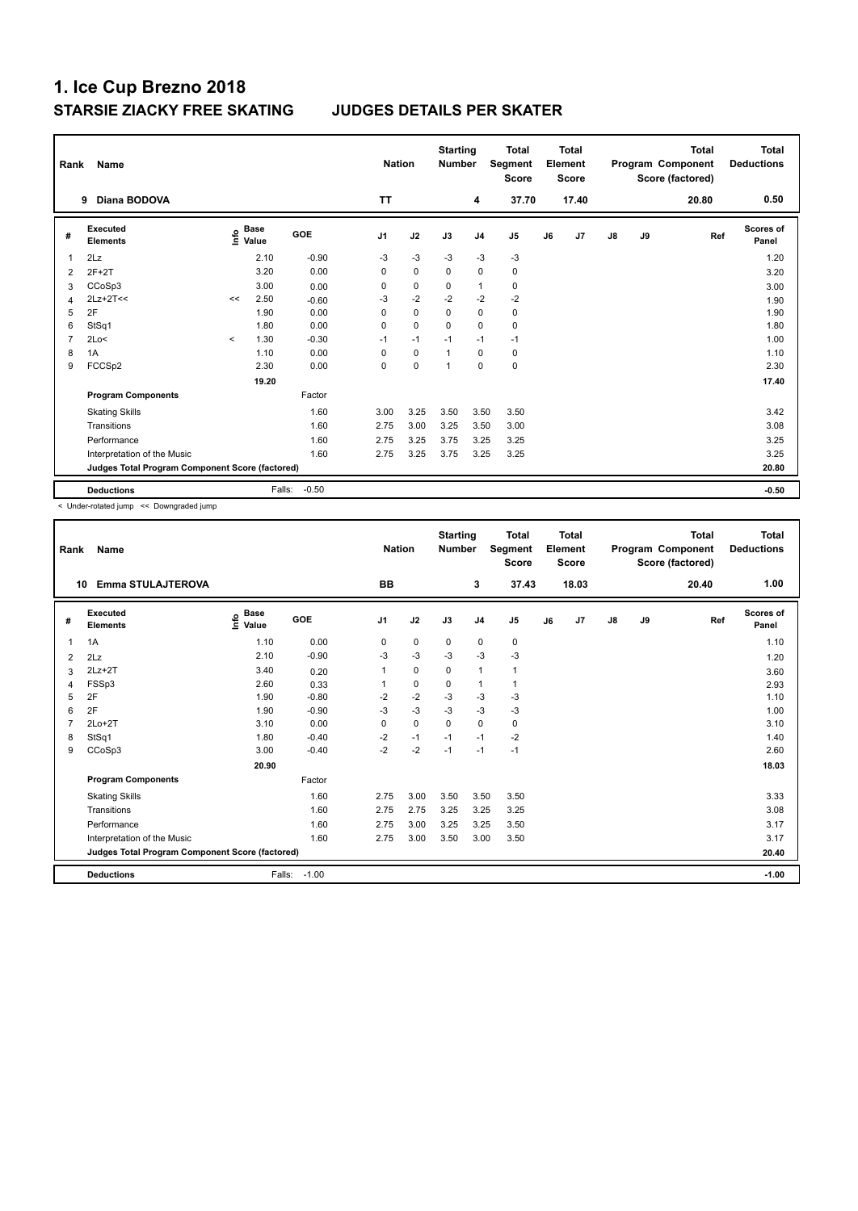| Rank           | Name                                            |         |                      |         | <b>Nation</b>  |             | <b>Starting</b><br><b>Number</b> |                | <b>Total</b><br>Segment<br><b>Score</b> |    | Total<br>Element<br><b>Score</b> |               |    | <b>Total</b><br>Program Component<br>Score (factored) | Total<br><b>Deductions</b> |
|----------------|-------------------------------------------------|---------|----------------------|---------|----------------|-------------|----------------------------------|----------------|-----------------------------------------|----|----------------------------------|---------------|----|-------------------------------------------------------|----------------------------|
|                | Diana BODOVA<br>9                               |         |                      |         | <b>TT</b>      |             |                                  | 4              | 37.70                                   |    | 17.40                            |               |    | 20.80                                                 | 0.50                       |
| #              | <b>Executed</b><br><b>Elements</b>              | lnfo    | <b>Base</b><br>Value | GOE     | J <sub>1</sub> | J2          | J3                               | J <sub>4</sub> | J <sub>5</sub>                          | J6 | J <sub>7</sub>                   | $\mathsf{J}8$ | J9 | Ref                                                   | <b>Scores of</b><br>Panel  |
| 1              | 2Lz                                             |         | 2.10                 | $-0.90$ | $-3$           | $-3$        | $-3$                             | $-3$           | $-3$                                    |    |                                  |               |    |                                                       | 1.20                       |
| $\overline{2}$ | $2F+2T$                                         |         | 3.20                 | 0.00    | 0              | $\mathbf 0$ | $\mathbf 0$                      | $\pmb{0}$      | $\pmb{0}$                               |    |                                  |               |    |                                                       | 3.20                       |
| 3              | CCoSp3                                          |         | 3.00                 | 0.00    | 0              | $\mathbf 0$ | 0                                | $\mathbf{1}$   | 0                                       |    |                                  |               |    |                                                       | 3.00                       |
| $\overline{4}$ | $2Lz+2T<<$                                      | <<      | 2.50                 | $-0.60$ | $-3$           | $-2$        | $-2$                             | $-2$           | $-2$                                    |    |                                  |               |    |                                                       | 1.90                       |
| 5              | 2F                                              |         | 1.90                 | 0.00    | $\Omega$       | $\mathbf 0$ | $\mathbf 0$                      | $\mathbf 0$    | $\pmb{0}$                               |    |                                  |               |    |                                                       | 1.90                       |
| 6              | StSq1                                           |         | 1.80                 | 0.00    | 0              | $\mathbf 0$ | $\Omega$                         | $\mathbf 0$    | $\mathbf 0$                             |    |                                  |               |    |                                                       | 1.80                       |
| 7              | 2Lo<                                            | $\prec$ | 1.30                 | $-0.30$ | $-1$           | $-1$        | $-1$                             | $-1$           | $-1$                                    |    |                                  |               |    |                                                       | 1.00                       |
| 8              | 1A                                              |         | 1.10                 | 0.00    | $\Omega$       | $\mathbf 0$ | $\overline{1}$                   | $\mathbf 0$    | 0                                       |    |                                  |               |    |                                                       | 1.10                       |
| 9              | FCCSp2                                          |         | 2.30                 | 0.00    | 0              | $\mathbf 0$ | $\overline{1}$                   | $\mathbf 0$    | $\pmb{0}$                               |    |                                  |               |    |                                                       | 2.30                       |
|                |                                                 |         | 19.20                |         |                |             |                                  |                |                                         |    |                                  |               |    |                                                       | 17.40                      |
|                | <b>Program Components</b>                       |         |                      | Factor  |                |             |                                  |                |                                         |    |                                  |               |    |                                                       |                            |
|                | <b>Skating Skills</b>                           |         |                      | 1.60    | 3.00           | 3.25        | 3.50                             | 3.50           | 3.50                                    |    |                                  |               |    |                                                       | 3.42                       |
|                | Transitions                                     |         |                      | 1.60    | 2.75           | 3.00        | 3.25                             | 3.50           | 3.00                                    |    |                                  |               |    |                                                       | 3.08                       |
|                | Performance                                     |         |                      | 1.60    | 2.75           | 3.25        | 3.75                             | 3.25           | 3.25                                    |    |                                  |               |    |                                                       | 3.25                       |
|                | Interpretation of the Music                     |         |                      | 1.60    | 2.75           | 3.25        | 3.75                             | 3.25           | 3.25                                    |    |                                  |               |    |                                                       | 3.25                       |
|                | Judges Total Program Component Score (factored) |         |                      |         |                |             |                                  |                |                                         |    |                                  |               |    |                                                       | 20.80                      |
|                | <b>Deductions</b>                               |         | Falls:               | $-0.50$ |                |             |                                  |                |                                         |    |                                  |               |    |                                                       | $-0.50$                    |

< Under-rotated jump << Downgraded jump

| Rank | <b>Name</b>                                     |                                    |         | <b>Nation</b>  |             | <b>Starting</b><br><b>Number</b> |                | <b>Total</b><br>Segment<br><b>Score</b> |    | <b>Total</b><br>Element<br><b>Score</b> |               |    | <b>Total</b><br>Program Component<br>Score (factored) | <b>Total</b><br><b>Deductions</b> |
|------|-------------------------------------------------|------------------------------------|---------|----------------|-------------|----------------------------------|----------------|-----------------------------------------|----|-----------------------------------------|---------------|----|-------------------------------------------------------|-----------------------------------|
| 10   | <b>Emma STULAJTEROVA</b>                        |                                    |         | <b>BB</b>      |             |                                  | 3              | 37.43                                   |    | 18.03                                   |               |    | 20.40                                                 | 1.00                              |
| #    | Executed<br><b>Elements</b>                     | <b>Base</b><br>$\frac{6}{5}$ Value | GOE     | J <sub>1</sub> | J2          | J3                               | J <sub>4</sub> | J <sub>5</sub>                          | J6 | J7                                      | $\mathsf{J}8$ | J9 | Ref                                                   | Scores of<br>Panel                |
| 1    | 1A                                              | 1.10                               | 0.00    | 0              | $\mathbf 0$ | $\mathbf 0$                      | 0              | $\pmb{0}$                               |    |                                         |               |    |                                                       | 1.10                              |
| 2    | 2Lz                                             | 2.10                               | $-0.90$ | -3             | $-3$        | $-3$                             | -3             | $-3$                                    |    |                                         |               |    |                                                       | 1.20                              |
| 3    | $2Lz+2T$                                        | 3.40                               | 0.20    | 1              | $\mathbf 0$ | $\mathbf 0$                      | $\overline{1}$ |                                         |    |                                         |               |    |                                                       | 3.60                              |
| 4    | FSSp3                                           | 2.60                               | 0.33    |                | 0           | 0                                | $\overline{1}$ |                                         |    |                                         |               |    |                                                       | 2.93                              |
| 5    | 2F                                              | 1.90                               | $-0.80$ | $-2$           | $-2$        | $-3$                             | $-3$           | $-3$                                    |    |                                         |               |    |                                                       | 1.10                              |
| 6    | 2F                                              | 1.90                               | $-0.90$ | $-3$           | $-3$        | $-3$                             | $-3$           | $-3$                                    |    |                                         |               |    |                                                       | 1.00                              |
|      | $2Lo+2T$                                        | 3.10                               | 0.00    | 0              | $\mathbf 0$ | 0                                | $\mathbf 0$    | 0                                       |    |                                         |               |    |                                                       | 3.10                              |
| 8    | StSq1                                           | 1.80                               | $-0.40$ | $-2$           | $-1$        | $-1$                             | $-1$           | $-2$                                    |    |                                         |               |    |                                                       | 1.40                              |
| 9    | CCoSp3                                          | 3.00                               | $-0.40$ | $-2$           | $-2$        | $-1$                             | $-1$           | $-1$                                    |    |                                         |               |    |                                                       | 2.60                              |
|      |                                                 | 20.90                              |         |                |             |                                  |                |                                         |    |                                         |               |    |                                                       | 18.03                             |
|      | <b>Program Components</b>                       |                                    | Factor  |                |             |                                  |                |                                         |    |                                         |               |    |                                                       |                                   |
|      | <b>Skating Skills</b>                           |                                    | 1.60    | 2.75           | 3.00        | 3.50                             | 3.50           | 3.50                                    |    |                                         |               |    |                                                       | 3.33                              |
|      | Transitions                                     |                                    | 1.60    | 2.75           | 2.75        | 3.25                             | 3.25           | 3.25                                    |    |                                         |               |    |                                                       | 3.08                              |
|      | Performance                                     |                                    | 1.60    | 2.75           | 3.00        | 3.25                             | 3.25           | 3.50                                    |    |                                         |               |    |                                                       | 3.17                              |
|      | Interpretation of the Music                     |                                    | 1.60    | 2.75           | 3.00        | 3.50                             | 3.00           | 3.50                                    |    |                                         |               |    |                                                       | 3.17                              |
|      | Judges Total Program Component Score (factored) |                                    |         |                |             |                                  |                |                                         |    |                                         |               |    |                                                       | 20.40                             |
|      | <b>Deductions</b>                               | Falls:                             | $-1.00$ |                |             |                                  |                |                                         |    |                                         |               |    |                                                       | $-1.00$                           |